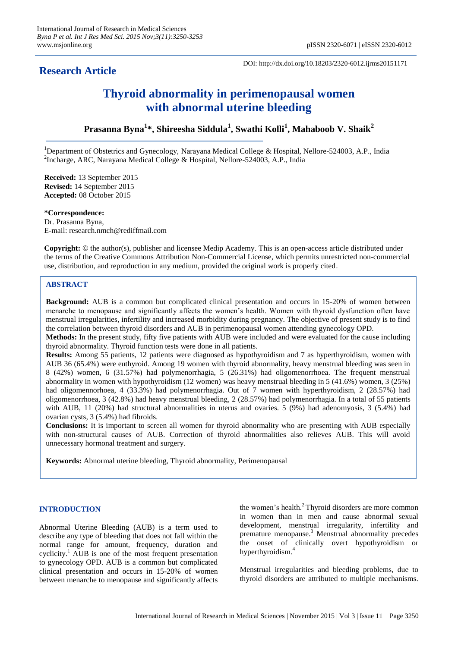# **Research Article**

DOI: http://dx.doi.org/10.18203/2320-6012.ijrms20151171

# **Thyroid abnormality in perimenopausal women with abnormal uterine bleeding**

# **Prasanna Byna<sup>1</sup> \*, Shireesha Siddula<sup>1</sup> , Swathi Kolli<sup>1</sup> , Mahaboob V. Shaik<sup>2</sup>**

<sup>1</sup>Department of Obstetrics and Gynecology, Narayana Medical College & Hospital, Nellore-524003, A.P., India <sup>2</sup>Incharge, ARC, Narayana Medical College & Hospital, Nellore-524003, A.P., India

**Received:** 13 September 2015 **Revised:** 14 September 2015 **Accepted:** 08 October 2015

**\*Correspondence:** Dr. Prasanna Byna, E-mail: research.nmch@rediffmail.com

**Copyright:** © the author(s), publisher and licensee Medip Academy. This is an open-access article distributed under the terms of the Creative Commons Attribution Non-Commercial License, which permits unrestricted non-commercial use, distribution, and reproduction in any medium, provided the original work is properly cited.

# **ABSTRACT**

**Background:** AUB is a common but complicated clinical presentation and occurs in 15-20% of women between menarche to menopause and significantly affects the women's health. Women with thyroid dysfunction often have menstrual irregularities, infertility and increased morbidity during pregnancy. The objective of present study is to find the correlation between thyroid disorders and AUB in perimenopausal women attending gynecology OPD.

**Methods:** In the present study, fifty five patients with AUB were included and were evaluated for the cause including thyroid abnormality. Thyroid function tests were done in all patients.

**Results:** Among 55 patients, 12 patients were diagnosed as hypothyroidism and 7 as hyperthyroidism, women with AUB 36 (65.4%) were euthyroid. Among 19 women with thyroid abnormality, heavy menstrual bleeding was seen in 8 (42%) women, 6 (31.57%) had polymenorrhagia, 5 (26.31%) had oligomenorrhoea. The frequent menstrual abnormality in women with hypothyroidism (12 women) was heavy menstrual bleeding in 5 (41.6%) women, 3 (25%) had oligomennorhoea, 4 (33.3%) had polymenorrhagia. Out of 7 women with hyperthyroidism, 2 (28.57%) had oligomenorrhoea, 3 (42.8%) had heavy menstrual bleeding, 2 (28.57%) had polymenorrhagia. In a total of 55 patients with AUB, 11 (20%) had structural abnormalities in uterus and ovaries. 5 (9%) had adenomyosis, 3 (5.4%) had ovarian cysts, 3 (5.4%) had fibroids.

**Conclusions:** It is important to screen all women for thyroid abnormality who are presenting with AUB especially with non-structural causes of AUB. Correction of thyroid abnormalities also relieves AUB. This will avoid unnecessary hormonal treatment and surgery.

**Keywords:** Abnormal uterine bleeding, Thyroid abnormality, Perimenopausal

# **INTRODUCTION**

Abnormal Uterine Bleeding (AUB) is a term used to describe any type of bleeding that does not fall within the normal range for amount, frequency, duration and cyclicity.<sup>1</sup> AUB is one of the most frequent presentation to gynecology OPD. AUB is a common but complicated clinical presentation and occurs in 15-20% of women between menarche to menopause and significantly affects

the women's health.<sup>2</sup> Thyroid disorders are more common in women than in men and cause abnormal sexual development, menstrual irregularity, infertility and premature menopause. <sup>3</sup> Menstrual abnormality precedes the onset of clinically overt hypothyroidism or hyperthyroidism. 4

Menstrual irregularities and bleeding problems, due to thyroid disorders are attributed to multiple mechanisms.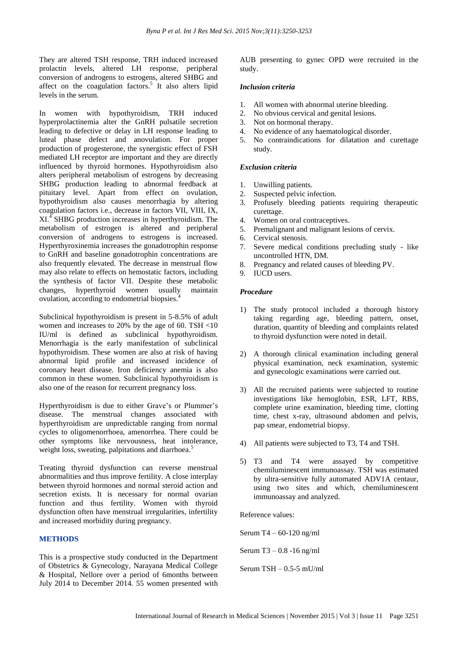They are altered TSH response, TRH induced increased prolactin levels, altered LH response, peripheral conversion of androgens to estrogens, altered SHBG and affect on the coagulation factors. 5 It also alters lipid levels in the serum.

In women with hypothyroidism, TRH induced hyperprolactinemia alter the GnRH pulsatile secretion leading to defective or delay in LH response leading to luteal phase defect and anovulation. For proper production of progesterone, the synergistic effect of FSH mediated LH receptor are important and they are directly influenced by thyroid hormones. Hypothyroidism also alters peripheral metabolism of estrogens by decreasing SHBG production leading to abnormal feedback at pituitary level. Apart from effect on ovulation, hypothyroidism also causes menorrhagia by altering coagulation factors i.e., decrease in factors VII, VIII, IX, XI.<sup>4</sup> SHBG production increases in hyperthyroidism. The metabolism of estrogen is altered and peripheral conversion of androgens to estrogens is increased. Hyperthyroxinemia increases the gonadotrophin response to GnRH and baseline gonadotrophin concentrations are also frequently elevated. The decrease in menstrual flow may also relate to effects on hemostatic factors, including the synthesis of factor VII. Despite these metabolic changes, hyperthyroid women usually maintain ovulation, according to endometrial biopsies.<sup>4</sup>

Subclinical hypothyroidism is present in 5-8.5% of adult women and increases to 20% by the age of 60. TSH <10 IU/ml is defined as subclinical hypothyroidism. Menorrhagia is the early manifestation of subclinical hypothyroidism. These women are also at risk of having abnormal lipid profile and increased incidence of coronary heart disease. Iron deficiency anemia is also common in these women. Subclinical hypothyroidism is also one of the reason for recurrent pregnancy loss.

Hyperthyroidism is due to either Grave's or Plummer's disease. The menstrual changes associated with hyperthyroidism are unpredictable ranging from normal cycles to oligomenorrhoea, amenorrhea. There could be other symptoms like nervousness, heat intolerance, weight loss, sweating, palpitations and diarrhoea.<sup>5</sup>

Treating thyroid dysfunction can reverse menstrual abnormalities and thus improve fertility. A close interplay between thyroid hormones and normal steroid action and secretion exists. It is necessary for normal ovarian function and thus fertility. Women with thyroid dysfunction often have menstrual irregularities, infertility and increased morbidity during pregnancy.

# **METHODS**

This is a prospective study conducted in the Department of Obstetrics & Gynecology, Narayana Medical College & Hospital, Nellore over a period of 6months between July 2014 to December 2014. 55 women presented with AUB presenting to gynec OPD were recruited in the study.

# *Inclusion criteria*

- 1. All women with abnormal uterine bleeding.
- 2. No obvious cervical and genital lesions.
- 3. Not on hormonal therapy.
- 4. No evidence of any haematological disorder.
- 5. No contraindications for dilatation and curettage study.

# *Exclusion criteria*

- 1. Unwilling patients.
- 2. Suspected pelvic infection.
- 3. Profusely bleeding patients requiring therapeutic curettage.
- 4. Women on oral contraceptives.
- 5. Premalignant and malignant lesions of cervix.
- 6. Cervical stenosis.
- 7. Severe medical conditions precluding study like uncontrolled HTN, DM.
- 8. Pregnancy and related causes of bleeding PV.
- 9. IUCD users.

# *Procedure*

- 1) The study protocol included a thorough history taking regarding age, bleeding pattern, onset, duration, quantity of bleeding and complaints related to thyroid dysfunction were noted in detail.
- 2) A thorough clinical examination including general physical examination, neck examination, systemic and gynecologic examinations were carried out.
- 3) All the recruited patients were subjected to routine investigations like hemoglobin, ESR, LFT, RBS, complete urine examination, bleeding time, clotting time, chest x-ray, ultrasound abdomen and pelvis, pap smear, endometrial biopsy.
- 4) All patients were subjected to T3, T4 and TSH.
- 5) T3 and T4 were assayed by competitive chemiluminescent immunoassay. TSH was estimated by ultra-sensitive fully automated ADV1A centaur, using two sites and which, chemiluminescent immunoassay and analyzed.

Reference values:

Serum T4 – 60-120 ng/ml

Serum T3 – 0.8 -16 ng/ml

Serum  $TSH - 0.5-5$  mU/ml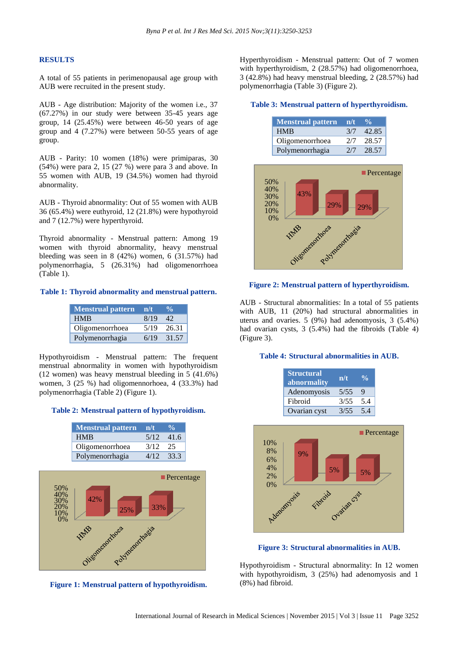# **RESULTS**

A total of 55 patients in perimenopausal age group with AUB were recruited in the present study.

AUB - Age distribution: Majority of the women i.e., 37 (67.27%) in our study were between 35-45 years age group, 14 (25.45%) were between 46-50 years of age group and 4 (7.27%) were between 50-55 years of age group.

AUB - Parity: 10 women (18%) were primiparas, 30 (54%) were para 2, 15 (27 %) were para 3 and above. In 55 women with AUB, 19 (34.5%) women had thyroid abnormality.

AUB - Thyroid abnormality: Out of 55 women with AUB 36 (65.4%) were euthyroid, 12 (21.8%) were hypothyroid and 7 (12.7%) were hyperthyroid.

Thyroid abnormality - Menstrual pattern: Among 19 women with thyroid abnormality, heavy menstrual bleeding was seen in 8 (42%) women, 6 (31.57%) had polymenorrhagia, 5 (26.31%) had oligomenorrhoea (Table 1).

# **Table 1: Thyroid abnormality and menstrual pattern.**

| <b>Menstrual pattern</b> | $-n/t$ | $\frac{0}{n}$ |
|--------------------------|--------|---------------|
| <b>HMB</b>               | 8/19   | 42            |
| Oligomenorrhoea          | 5/19   | 26.31         |
| Polymenorrhagia          | 6/19   | 31.57         |

Hypothyroidism - Menstrual pattern: The frequent menstrual abnormality in women with hypothyroidism (12 women) was heavy menstrual bleeding in 5 (41.6%) women, 3 (25 %) had oligomennorhoea, 4 (33.3%) had polymenorrhagia (Table 2) (Figure 1).

#### **Table 2: Menstrual pattern of hypothyroidism.**

| Menstrual pattern n/t |      | $\frac{0}{\alpha}$ |
|-----------------------|------|--------------------|
| <b>HMB</b>            |      | $5/12$ 41.6        |
| Oligomenorrhoea       | 3/12 | - 25               |
| Polymenorrhagia       | 4/12 | 33.3               |



**Figure 1: Menstrual pattern of hypothyroidism.**

Hyperthyroidism - Menstrual pattern: Out of 7 women with hyperthyroidism, 2 (28.57%) had oligomenorrhoea, 3 (42.8%) had heavy menstrual bleeding, 2 (28.57%) had polymenorrhagia (Table 3) (Figure 2).

#### **Table 3: Menstrual pattern of hyperthyroidism.**

| <b>Menstrual pattern</b> | n/t | $\frac{10}{10}$ |
|--------------------------|-----|-----------------|
| <b>HMB</b>               | 3/7 | 42.85           |
| Oligomenorrhoea          | 2/7 | 28.57           |
| Polymenorrhagia          | 2/7 | 28.57           |



#### **Figure 2: Menstrual pattern of hyperthyroidism.**

AUB - Structural abnormalities: In a total of 55 patients with AUB, 11 (20%) had structural abnormalities in uterus and ovaries. 5 (9%) had adenomyosis, 3 (5.4%) had ovarian cysts, 3 (5.4%) had the fibroids (Table 4) (Figure 3).

#### **Table 4: Structural abnormalities in AUB.**

| <b>Structural</b><br>abnormality | n/t  | $\frac{0}{\pi}$ |
|----------------------------------|------|-----------------|
| Adenomyosis                      | 5/55 | Q               |
| Fibroid                          | 3/55 | 5.4             |
| Ovarian cyst                     | 3/55 | 54              |



**Figure 3: Structural abnormalities in AUB.**

Hypothyroidism - Structural abnormality: In 12 women with hypothyroidism, 3 (25%) had adenomyosis and 1 (8%) had fibroid.